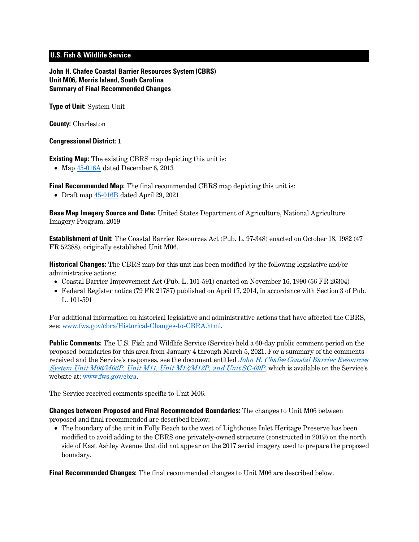# **U.S. Fish & Wildlife Service**

**John H. Chafee Coastal Barrier Resources System (CBRS) Unit M06, Morris Island, South Carolina Summary of Final Recommended Changes**

**Type of Unit:** System Unit

**County:** Charleston

#### **Congressional District:** 1

**Existing Map:** The existing CBRS map depicting this unit is:

• Map  $45-016A$  dated December 6, 2013

**Final Recommended Map:** The final recommended CBRS map depicting this unit is:

• Draft map  $45-016B$  dated April 29, 2021

**Base Map Imagery Source and Date:** United States Department of Agriculture, National Agriculture Imagery Program, 2019

**Establishment of Unit:** The Coastal Barrier Resources Act (Pub. L. 97-348) enacted on October 18, 1982 (47 FR 52388), originally established Unit M06.

**Historical Changes:** The CBRS map for this unit has been modified by the following legislative and/or administrative actions:

- Coastal Barrier Improvement Act (Pub. L. 101-591) enacted on November 16, 1990 (56 FR 26304)
- Federal Register notice (79 FR 21787) published on April 17, 2014, in accordance with Section 3 of Pub. L. 101-591

For additional information on historical legislative and administrative actions that have affected the CBRS, see: [www.fws.gov/cbra/Historical-Changes-to-CBRA.html.](http://www.fws.gov/cbra/Historical-Changes-to-CBRA.html)

**Public Comments:** The U.S. Fish and Wildlife Service (Service) held a 60-day public comment period on the proposed boundaries for this area from January 4 through March 5, 2021. For a summary of the comments received and the Service's responses, see the document entitled *John H. Chafee Coastal Barrier Resources* [System Unit M06/M06P, Unit M11, Unit M12/M12P, and Unit SC-09P](https://www.fws.gov/cbra/projects/technical-corrections/SC-2021-Public-Comments-and-Responses.pdf), which is available on the Service's website at: [www.fws.gov/cbra.](http://www.fws.gov/cbra)

The Service received comments specific to Unit M06.

**Changes between Proposed and Final Recommended Boundaries:** The changes to Unit M06 between proposed and final recommended are described below:

• The boundary of the unit in Folly Beach to the west of Lighthouse Inlet Heritage Preserve has been modified to avoid adding to the CBRS one privately-owned structure (constructed in 2019) on the north side of East Ashley Avenue that did not appear on the 2017 aerial imagery used to prepare the proposed boundary.

**Final Recommended Changes:** The final recommended changes to Unit M06 are described below.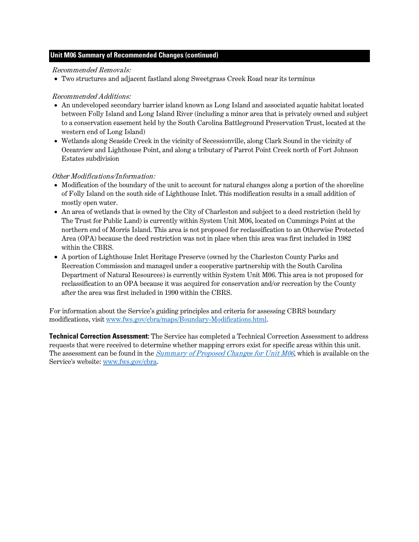### **Unit M06 Summary of Recommended Changes (continued)**

#### Recommended Removals:

• Two structures and adjacent fastland along Sweetgrass Creek Road near its terminus

### Recommended Additions:

- An undeveloped secondary barrier island known as Long Island and associated aquatic habitat located between Folly Island and Long Island River (including a minor area that is privately owned and subject to a conservation easement held by the South Carolina Battleground Preservation Trust, located at the western end of Long Island)
- Wetlands along Seaside Creek in the vicinity of Secessionville, along Clark Sound in the vicinity of Oceanview and Lighthouse Point, and along a tributary of Parrot Point Creek north of Fort Johnson Estates subdivision

## Other Modifications/Information:

- Modification of the boundary of the unit to account for natural changes along a portion of the shoreline of Folly Island on the south side of Lighthouse Inlet. This modification results in a small addition of mostly open water.
- An area of wetlands that is owned by the City of Charleston and subject to a deed restriction (held by The Trust for Public Land) is currently within System Unit M06, located on Cummings Point at the northern end of Morris Island. This area is not proposed for reclassification to an Otherwise Protected Area (OPA) because the deed restriction was not in place when this area was first included in 1982 within the CBRS.
- A portion of Lighthouse Inlet Heritage Preserve (owned by the Charleston County Parks and Recreation Commission and managed under a cooperative partnership with the South Carolina Department of Natural Resources) is currently within System Unit M06. This area is not proposed for reclassification to an OPA because it was acquired for conservation and/or recreation by the County after the area was first included in 1990 within the CBRS.

For information about the Service's guiding principles and criteria for assessing CBRS boundary modifications, visit [www.fws.gov/cbra/maps/Boundary-Modifications.html.](http://www.fws.gov/cbra/maps/Boundary-Modifications.html)

**Technical Correction Assessment:** The Service has completed a Technical Correction Assessment to address requests that were received to determine whether mapping errors exist for specific areas within this unit. The assessment can be found in the *[Summary of Proposed Changes for Unit M06](https://www.fws.gov/cbra/projects/technical-corrections/M06-Proposed-Unit-Summary.pdf)*, which is available on the Service's website: [www.fws.gov/cbra.](http://www.fws.gov/cbra)